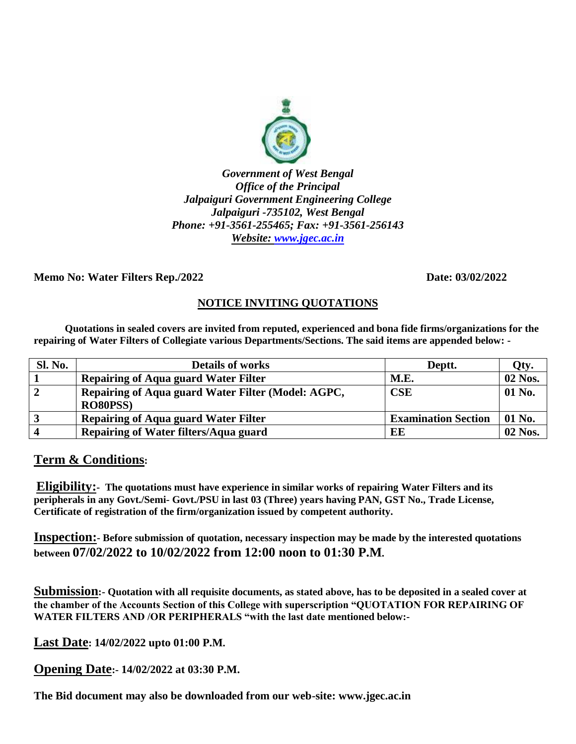

*Government of West Bengal Office of the Principal Jalpaiguri Government Engineering College Jalpaiguri -735102, West Bengal Phone: +91-3561-255465; Fax: +91-3561-256143 Website: [www.jgec.ac.in](http://www.jgec.ac.in/)*

**Memo No: Water Filters Rep./2022 Date: 03/02/2022**

## **NOTICE INVITING QUOTATIONS**

 **Quotations in sealed covers are invited from reputed, experienced and bona fide firms/organizations for the repairing of Water Filters of Collegiate various Departments/Sections. The said items are appended below: -**

| <b>Sl. No.</b> | <b>Details of works</b>                                               | Deptt.                     | Qty.    |
|----------------|-----------------------------------------------------------------------|----------------------------|---------|
|                | <b>Repairing of Aqua guard Water Filter</b>                           | M.E.                       | 02 Nos. |
| 2              | Repairing of Aqua guard Water Filter (Model: AGPC,<br><b>RO80PSS)</b> | CSE                        | 01 No.  |
|                | <b>Repairing of Aqua guard Water Filter</b>                           | <b>Examination Section</b> | 01 No.  |
|                | Repairing of Water filters/Aqua guard                                 | EE                         | 02 Nos. |

## **Term & Conditions:**

**Eligibility:- The quotations must have experience in similar works of repairing Water Filters and its peripherals in any Govt./Semi- Govt./PSU in last 03 (Three) years having PAN, GST No., Trade License, Certificate of registration of the firm/organization issued by competent authority.**

**Inspection:- Before submission of quotation, necessary inspection may be made by the interested quotations between 07/02/2022 to 10/02/2022 from 12:00 noon to 01:30 P.M.**

**Submission:- Quotation with all requisite documents, as stated above, has to be deposited in a sealed cover at the chamber of the Accounts Section of this College with superscription "QUOTATION FOR REPAIRING OF WATER FILTERS AND /OR PERIPHERALS "with the last date mentioned below:-**

**Last Date: 14/02/2022 upto 01:00 P.M.**

**Opening Date:- 14/02/2022 at 03:30 P.M.**

**The Bid document may also be downloaded from our web-site: www.jgec.ac.in**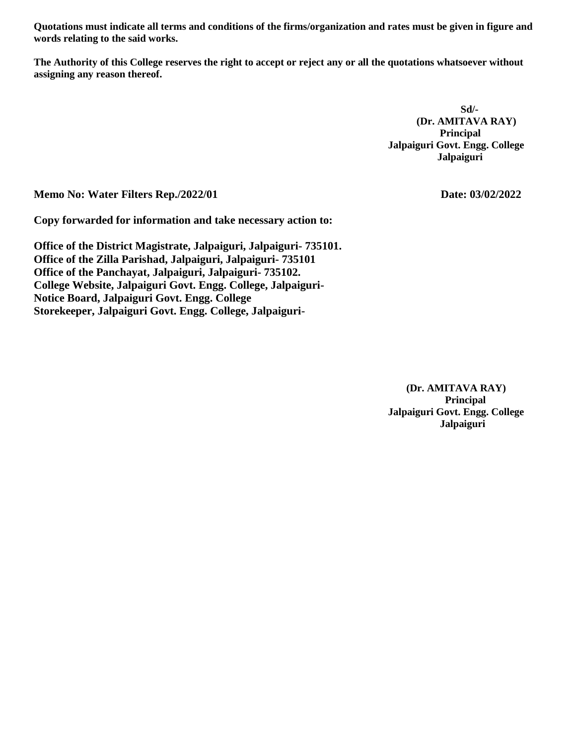**Quotations must indicate all terms and conditions of the firms/organization and rates must be given in figure and words relating to the said works.**

**The Authority of this College reserves the right to accept or reject any or all the quotations whatsoever without assigning any reason thereof.** 

 **Sd/- (Dr. AMITAVA RAY)** *Principal*  **Jalpaiguri Govt. Engg. College Jalpaiguri**

**Memo No: Water Filters Rep./2022/01 Date: 03/02/2022** 

**Copy forwarded for information and take necessary action to:**

**Office of the District Magistrate, Jalpaiguri, Jalpaiguri- 735101. Office of the Zilla Parishad, Jalpaiguri, Jalpaiguri- 735101 Office of the Panchayat, Jalpaiguri, Jalpaiguri- 735102. College Website, Jalpaiguri Govt. Engg. College, Jalpaiguri-Notice Board, Jalpaiguri Govt. Engg. College Storekeeper, Jalpaiguri Govt. Engg. College, Jalpaiguri-**

 **(Dr. AMITAVA RAY) Principal Jalpaiguri Govt. Engg. College Jalpaiguri**